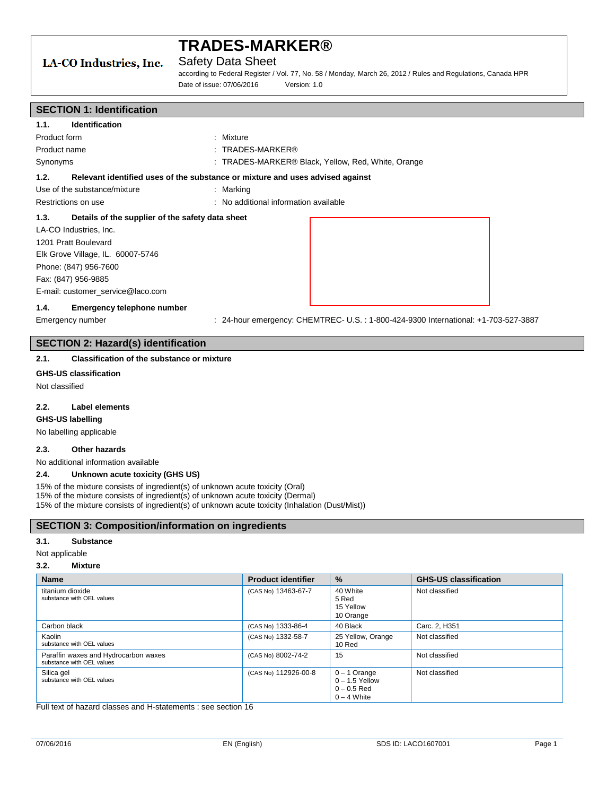# LA-CO Industries, Inc.

# Safety Data Sheet

according to Federal Register / Vol. 77, No. 58 / Monday, March 26, 2012 / Rules and Regulations, Canada HPR Date of issue: 07/06/2016 Version: 1.0

## **SECTION 1: Identification**

| <b>Identification</b><br>1.1.                            |                                                                               |
|----------------------------------------------------------|-------------------------------------------------------------------------------|
| Product form                                             | : Mixture                                                                     |
| Product name                                             | : $TRADES-MARKER@$                                                            |
| Synonyms                                                 | : TRADES-MARKER® Black, Yellow, Red, White, Orange                            |
| 1.2.                                                     | Relevant identified uses of the substance or mixture and uses advised against |
| Use of the substance/mixture                             | : Marking                                                                     |
| Restrictions on use                                      | : No additional information available                                         |
|                                                          |                                                                               |
| 1.3.<br>Details of the supplier of the safety data sheet |                                                                               |
| LA-CO Industries, Inc.                                   |                                                                               |
| 1201 Pratt Boulevard                                     |                                                                               |
| Elk Grove Village, IL. 60007-5746                        |                                                                               |
| Phone: (847) 956-7600                                    |                                                                               |
| Fax: (847) 956-9885                                      |                                                                               |
| E-mail: customer_service@laco.com                        |                                                                               |

#### **1.4. Emergency telephone number**

Emergency number : 24-hour emergency: CHEMTREC- U.S.: 1-800-424-9300 International: +1-703-527-3887

## **SECTION 2: Hazard(s) identification**

### **2.1. Classification of the substance or mixture**

#### **GHS-US classification**

Not classified

## **2.2. Label elements**

## **GHS-US labelling**

No labelling applicable

## **2.3. Other hazards**

No additional information available

### **2.4. Unknown acute toxicity (GHS US)**

15% of the mixture consists of ingredient(s) of unknown acute toxicity (Oral) 15% of the mixture consists of ingredient(s) of unknown acute toxicity (Dermal) 15% of the mixture consists of ingredient(s) of unknown acute toxicity (Inhalation (Dust/Mist))

## **SECTION 3: Composition/information on ingredients**

#### **3.1. Substance**

Not applicable

#### **3.2. Mixture**

| <b>Name</b>                                                       | <b>Product identifier</b> | $\%$                                                                 | <b>GHS-US classification</b> |
|-------------------------------------------------------------------|---------------------------|----------------------------------------------------------------------|------------------------------|
| titanium dioxide<br>substance with OEL values                     | (CAS No) 13463-67-7       | 40 White<br>5 Red<br>15 Yellow<br>10 Orange                          | Not classified               |
| Carbon black                                                      | (CAS No) 1333-86-4        | 40 Black                                                             | Carc. 2, H351                |
| Kaolin<br>substance with OEL values                               | (CAS No) 1332-58-7        | 25 Yellow, Orange<br>10 Red                                          | Not classified               |
| Paraffin waxes and Hydrocarbon waxes<br>substance with OEL values | (CAS No) 8002-74-2        | 15                                                                   | Not classified               |
| Silica gel<br>substance with OEL values                           | (CAS No) 112926-00-8      | $0 - 1$ Orange<br>$0 - 1.5$ Yellow<br>$0 - 0.5$ Red<br>$0 - 4$ White | Not classified               |

Full text of hazard classes and H-statements : see section 16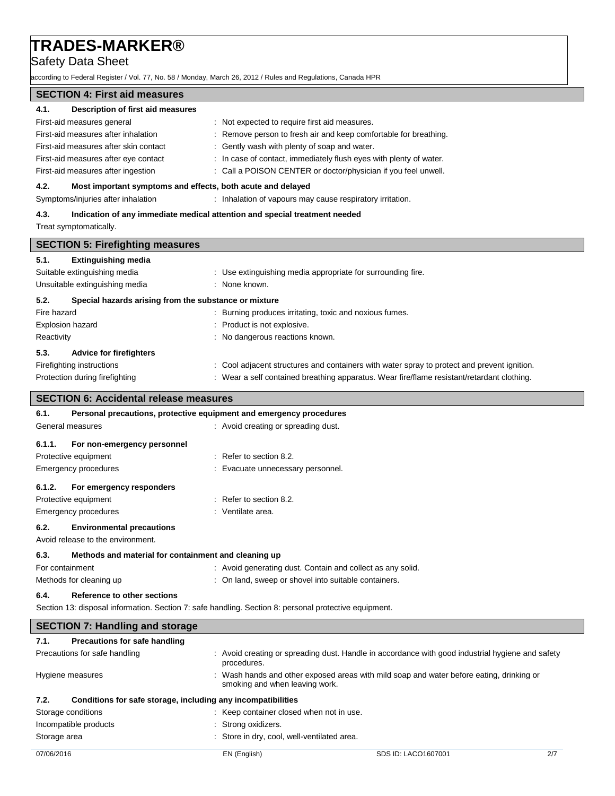Safety Data Sheet

according to Federal Register / Vol. 77, No. 58 / Monday, March 26, 2012 / Rules and Regulations, Canada HPR

# **SECTION 4: First aid measures**

| 4.1.                    | Description of first aid measures                                          |                                                                                             |
|-------------------------|----------------------------------------------------------------------------|---------------------------------------------------------------------------------------------|
|                         | First-aid measures general                                                 | : Not expected to require first aid measures.                                               |
|                         | First-aid measures after inhalation                                        | Remove person to fresh air and keep comfortable for breathing.                              |
|                         | First-aid measures after skin contact                                      | Gently wash with plenty of soap and water.                                                  |
|                         | First-aid measures after eye contact                                       | : In case of contact, immediately flush eyes with plenty of water.                          |
|                         | First-aid measures after ingestion                                         | : Call a POISON CENTER or doctor/physician if you feel unwell.                              |
| 4.2.                    | Most important symptoms and effects, both acute and delayed                |                                                                                             |
|                         | Symptoms/injuries after inhalation                                         | : Inhalation of vapours may cause respiratory irritation.                                   |
| 4.3.                    | Indication of any immediate medical attention and special treatment needed |                                                                                             |
|                         | Treat symptomatically.                                                     |                                                                                             |
|                         | <b>SECTION 5: Firefighting measures</b>                                    |                                                                                             |
| 5.1.                    | <b>Extinguishing media</b>                                                 |                                                                                             |
|                         | Suitable extinguishing media                                               | : Use extinguishing media appropriate for surrounding fire.                                 |
|                         | Unsuitable extinguishing media                                             | : None known.                                                                               |
| 5.2.                    | Special hazards arising from the substance or mixture                      |                                                                                             |
| Fire hazard             |                                                                            | : Burning produces irritating, toxic and noxious fumes.                                     |
| <b>Explosion hazard</b> |                                                                            | Product is not explosive.                                                                   |
| Reactivity              |                                                                            | No dangerous reactions known.                                                               |
| 5.3.                    | <b>Advice for firefighters</b>                                             |                                                                                             |
|                         | Firefighting instructions                                                  | : Cool adjacent structures and containers with water spray to protect and prevent ignition. |
|                         | Protection during firefighting                                             | : Wear a self contained breathing apparatus. Wear fire/flame resistant/retardant clothing.  |
|                         | <b>SECTION 6: Accidental release measures</b>                              |                                                                                             |
| 6.1.                    | Personal precautions, protective equipment and emergency procedures        |                                                                                             |
|                         | General measures                                                           | : Avoid creating or spreading dust.                                                         |
| 6.1.1.                  | For non-emergency personnel                                                |                                                                                             |
|                         | Protective equipment                                                       | $:$ Refer to section 8.2.                                                                   |

| 6.1.2.                      | For emergency responders         |                                    |
|-----------------------------|----------------------------------|------------------------------------|
| Protective equipment        |                                  | $\therefore$ Refer to section 8.2. |
| <b>Emergency procedures</b> |                                  | : Ventilate area.                  |
| 6.2.                        | <b>Environmental precautions</b> |                                    |

Emergency procedures **in the contract of the Contract Evacuate unnecessary personnel.** 

Avoid release to the environment.

| 6.3. | Methods and material for containment and cleaning up |
|------|------------------------------------------------------|
|      | .                                                    |

| For containment         | : Avoid generating dust. Contain and collect as any solid. |
|-------------------------|------------------------------------------------------------|
| Methods for cleaning up | : On land, sweep or shovel into suitable containers.       |

## **6.4. Reference to other sections**

Section 13: disposal information. Section 7: safe handling. Section 8: personal protective equipment.

| <b>SECTION 7: Handling and storage</b>                               |                                             |                                                                                                  |  |
|----------------------------------------------------------------------|---------------------------------------------|--------------------------------------------------------------------------------------------------|--|
| Precautions for safe handling<br>7.1.                                |                                             |                                                                                                  |  |
| Precautions for safe handling                                        | procedures.                                 | : Avoid creating or spreading dust. Handle in accordance with good industrial hygiene and safety |  |
| Hygiene measures                                                     | smoking and when leaving work.              | : Wash hands and other exposed areas with mild soap and water before eating, drinking or         |  |
| Conditions for safe storage, including any incompatibilities<br>7.2. |                                             |                                                                                                  |  |
| Storage conditions                                                   | : Keep container closed when not in use.    |                                                                                                  |  |
| Incompatible products                                                | : Strong oxidizers.                         |                                                                                                  |  |
| Storage area                                                         | : Store in dry, cool, well-ventilated area. |                                                                                                  |  |
| 07/06/2016                                                           | EN (English)                                | SDS ID: LACO1607001<br>2/7                                                                       |  |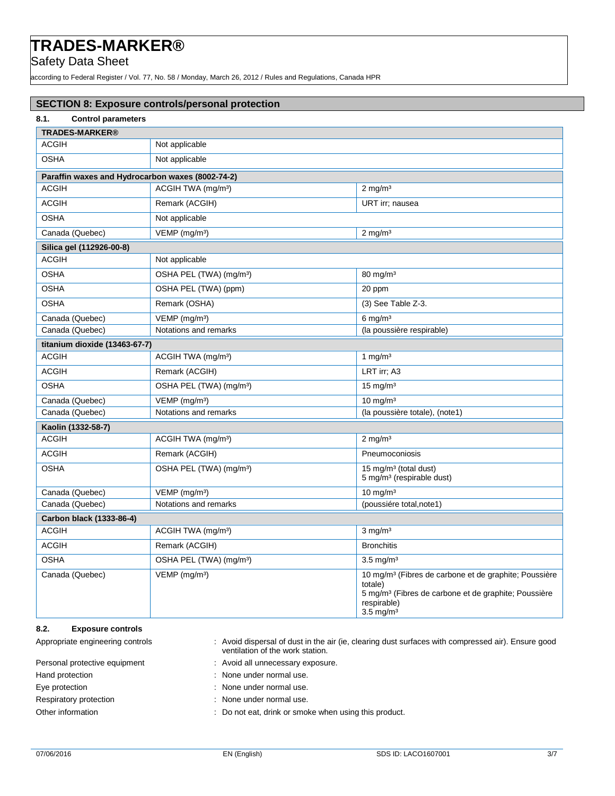Safety Data Sheet

according to Federal Register / Vol. 77, No. 58 / Monday, March 26, 2012 / Rules and Regulations, Canada HPR

## **SECTION 8: Exposure controls/personal protection**

| 8.1.<br><b>Control parameters</b>                |                                     |                                                                                                                                                                                            |
|--------------------------------------------------|-------------------------------------|--------------------------------------------------------------------------------------------------------------------------------------------------------------------------------------------|
| <b>TRADES-MARKER®</b>                            |                                     |                                                                                                                                                                                            |
| <b>ACGIH</b><br>Not applicable                   |                                     |                                                                                                                                                                                            |
| <b>OSHA</b><br>Not applicable                    |                                     |                                                                                                                                                                                            |
| Paraffin waxes and Hydrocarbon waxes (8002-74-2) |                                     |                                                                                                                                                                                            |
| <b>ACGIH</b>                                     | ACGIH TWA (mg/m <sup>3</sup> )      | $2 \text{ mg/m}^3$                                                                                                                                                                         |
| <b>ACGIH</b>                                     | Remark (ACGIH)                      | URT irr; nausea                                                                                                                                                                            |
| <b>OSHA</b>                                      | Not applicable                      |                                                                                                                                                                                            |
| Canada (Quebec)                                  | VEMP (mg/m <sup>3</sup> )           | $2 \text{ mg/m}^3$                                                                                                                                                                         |
| Silica gel (112926-00-8)                         |                                     |                                                                                                                                                                                            |
| <b>ACGIH</b>                                     | Not applicable                      |                                                                                                                                                                                            |
| <b>OSHA</b>                                      | OSHA PEL (TWA) (mg/m <sup>3</sup> ) | $80 \text{ mg/m}^3$                                                                                                                                                                        |
| <b>OSHA</b>                                      | OSHA PEL (TWA) (ppm)                | 20 ppm                                                                                                                                                                                     |
| OSHA                                             | Remark (OSHA)                       | $(3)$ See Table Z-3.                                                                                                                                                                       |
| Canada (Quebec)                                  | VEMP (mg/m <sup>3</sup> )           | $6 \text{ mg/m}^3$                                                                                                                                                                         |
| Canada (Quebec)                                  | Notations and remarks               | (la poussière respirable)                                                                                                                                                                  |
| titanium dioxide (13463-67-7)                    |                                     |                                                                                                                                                                                            |
| <b>ACGIH</b>                                     | ACGIH TWA (mg/m <sup>3</sup> )      | 1 mg/m $3$                                                                                                                                                                                 |
| <b>ACGIH</b>                                     | Remark (ACGIH)                      | LRT irr; A3                                                                                                                                                                                |
| <b>OSHA</b>                                      | OSHA PEL (TWA) (mg/m <sup>3</sup> ) | $15 \text{ mg/m}^3$                                                                                                                                                                        |
| Canada (Quebec)                                  | $VEMP$ (mg/m <sup>3</sup> )         | $10$ mg/m <sup>3</sup>                                                                                                                                                                     |
| Canada (Quebec)                                  | Notations and remarks               | (la poussière totale), (note1)                                                                                                                                                             |
| Kaolin (1332-58-7)                               |                                     |                                                                                                                                                                                            |
| <b>ACGIH</b>                                     | ACGIH TWA (mg/m <sup>3</sup> )      | $2$ mg/m <sup>3</sup>                                                                                                                                                                      |
| <b>ACGIH</b>                                     | Remark (ACGIH)                      | Pneumoconiosis                                                                                                                                                                             |
| <b>OSHA</b>                                      | OSHA PEL (TWA) (mg/m <sup>3</sup> ) | 15 mg/m <sup>3</sup> (total dust)<br>5 mg/m <sup>3</sup> (respirable dust)                                                                                                                 |
| Canada (Quebec)                                  | $VEMP$ (mg/m <sup>3</sup> )         | $10 \text{ mg/m}^3$                                                                                                                                                                        |
| Canada (Quebec)                                  | Notations and remarks               | (poussiére total, note1)                                                                                                                                                                   |
| Carbon black (1333-86-4)                         |                                     |                                                                                                                                                                                            |
| <b>ACGIH</b>                                     | ACGIH TWA (mg/m <sup>3</sup> )      | $3$ mg/m <sup>3</sup>                                                                                                                                                                      |
| <b>ACGIH</b>                                     | Remark (ACGIH)                      | <b>Bronchitis</b>                                                                                                                                                                          |
| <b>OSHA</b>                                      | OSHA PEL (TWA) (mg/m <sup>3</sup> ) | $3.5 \text{ mg/m}^3$                                                                                                                                                                       |
| Canada (Quebec)                                  | VEMP (mg/m <sup>3</sup> )           | 10 mg/m <sup>3</sup> (Fibres de carbone et de graphite; Poussière<br>totale)<br>5 mg/m <sup>3</sup> (Fibres de carbone et de graphite; Poussière<br>respirable)<br>$3.5$ mg/m <sup>3</sup> |

## **8.2. Exposure controls**

Appropriate engineering controls : Avoid dispersal of dust in the air (ie, clearing dust surfaces with compressed air). Ensure good ventilation of the work station.

- 
- Personal protective equipment : Avoid all unnecessary exposure.
- Hand protection **in the contract of the contract of the contract of the contract of the contract of the contract of the contract of the contract of the contract of the contract of the contract of the contract of the contra**
- Eye protection  $\blacksquare$  : None under normal use.
- Respiratory protection  $\blacksquare$ : None under normal use.

Other information : Do not eat, drink or smoke when using this product.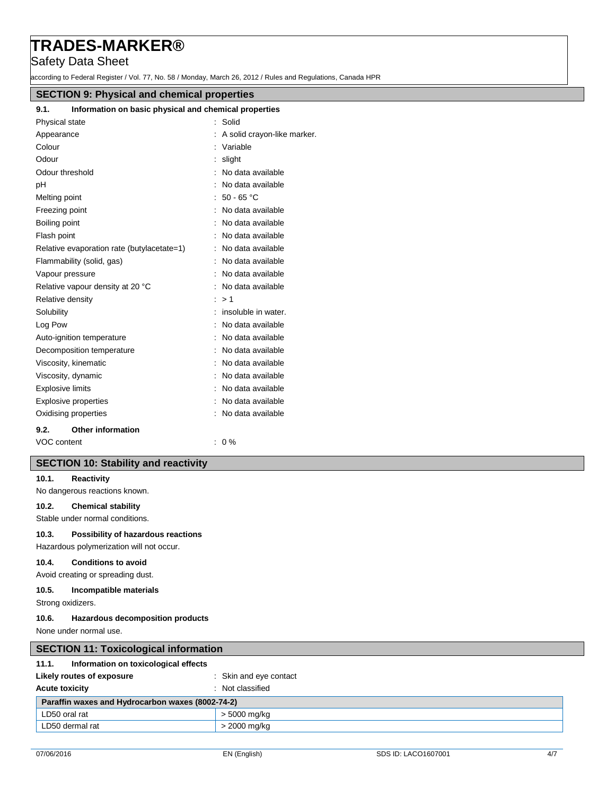Safety Data Sheet

according to Federal Register / Vol. 77, No. 58 / Monday, March 26, 2012 / Rules and Regulations, Canada HPR

## **SECTION 9: Physical and chemical properties**

| Information on basic physical and chemical properties<br>9.1. |                             |
|---------------------------------------------------------------|-----------------------------|
| Physical state                                                | Solid                       |
| Appearance                                                    | A solid crayon-like marker. |
| Colour                                                        | Variable                    |
| Odour                                                         | slight                      |
| Odour threshold                                               | No data available           |
| pH                                                            | No data available           |
| Melting point                                                 | $: 50 - 65 °C$              |
| Freezing point                                                | No data available           |
| Boiling point                                                 | No data available           |
| Flash point                                                   | No data available           |
| Relative evaporation rate (butylacetate=1)                    | No data available           |
| Flammability (solid, gas)                                     | No data available           |
| Vapour pressure                                               | No data available           |
| Relative vapour density at 20 °C                              | No data available           |
| Relative density                                              | >1                          |
| Solubility                                                    | insoluble in water.         |
| Log Pow                                                       | No data available           |
| Auto-ignition temperature                                     | No data available           |
| Decomposition temperature                                     | No data available           |
| Viscosity, kinematic                                          | No data available           |
| Viscosity, dynamic                                            | No data available           |
| <b>Explosive limits</b>                                       | No data available           |
| <b>Explosive properties</b>                                   | No data available           |
| Oxidising properties                                          | No data available           |
| <b>Other information</b><br>9.2.                              |                             |
| VOC content                                                   | $: 0 \%$                    |

# **SECTION 10: Stability and reactivity**

#### **10.1. Reactivity**

No dangerous reactions known.

#### **10.2. Chemical stability**

Stable under normal conditions.

## **10.3. Possibility of hazardous reactions**

Hazardous polymerization will not occur.

# **10.4. Conditions to avoid**

Avoid creating or spreading dust.

#### **10.5. Incompatible materials**

Strong oxidizers.

### **10.6. Hazardous decomposition products**

None under normal use.

| <b>SECTION 11: Toxicological information</b>     |  |  |
|--------------------------------------------------|--|--|
| 11.1.<br>Information on toxicological effects    |  |  |
| : Skin and eye contact                           |  |  |
| : Not classified                                 |  |  |
| Paraffin waxes and Hydrocarbon waxes (8002-74-2) |  |  |
| > 5000 mg/kg                                     |  |  |
| > 2000 mg/kg                                     |  |  |
|                                                  |  |  |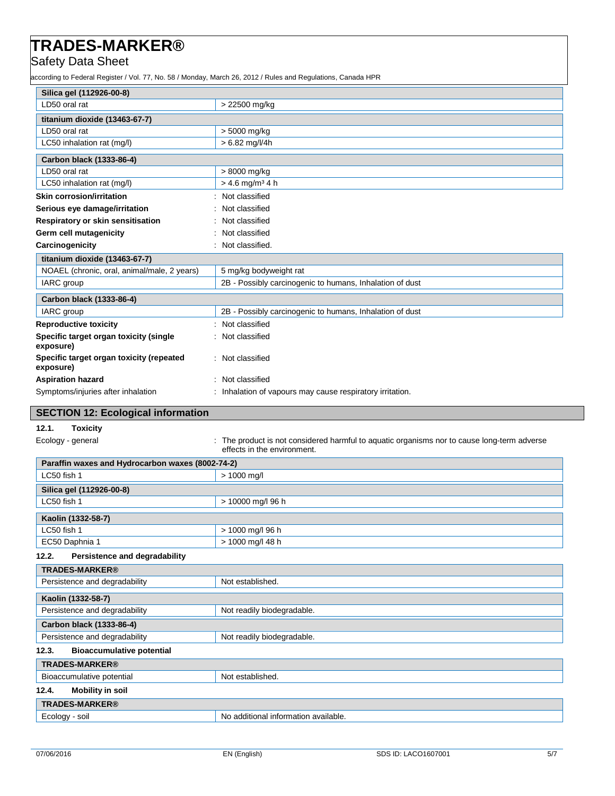Safety Data Sheet

according to Federal Register / Vol. 77, No. 58 / Monday, March 26, 2012 / Rules and Regulations, Canada HPR

| Silica gel (112926-00-8)                              |                                                           |  |
|-------------------------------------------------------|-----------------------------------------------------------|--|
| LD50 oral rat<br>> 22500 mg/kg                        |                                                           |  |
| titanium dioxide (13463-67-7)                         |                                                           |  |
| LD50 oral rat                                         | > 5000 mg/kg                                              |  |
| LC50 inhalation rat (mg/l)                            | $> 6.82$ mg/l/4h                                          |  |
| Carbon black (1333-86-4)                              |                                                           |  |
| LD50 oral rat                                         | > 8000 mg/kg                                              |  |
| LC50 inhalation rat (mg/l)                            | $> 4.6$ mg/m <sup>3</sup> 4 h                             |  |
| Skin corrosion/irritation                             | : Not classified                                          |  |
| Serious eye damage/irritation                         | Not classified                                            |  |
| Respiratory or skin sensitisation                     | Not classified                                            |  |
| Germ cell mutagenicity                                | Not classified                                            |  |
| Carcinogenicity                                       | Not classified.                                           |  |
| titanium dioxide (13463-67-7)                         |                                                           |  |
| NOAEL (chronic, oral, animal/male, 2 years)           | 5 mg/kg bodyweight rat                                    |  |
| IARC group                                            | 2B - Possibly carcinogenic to humans, Inhalation of dust  |  |
| Carbon black (1333-86-4)                              |                                                           |  |
| IARC group                                            | 2B - Possibly carcinogenic to humans, Inhalation of dust  |  |
| <b>Reproductive toxicity</b>                          | Not classified<br>۰.                                      |  |
| Specific target organ toxicity (single<br>exposure)   | Not classified                                            |  |
| Specific target organ toxicity (repeated<br>exposure) | : Not classified                                          |  |
| <b>Aspiration hazard</b>                              | Not classified                                            |  |
| Symptoms/injuries after inhalation                    | : Inhalation of vapours may cause respiratory irritation. |  |

# **SECTION 12: Ecological information**

**12.1. Toxicity**

Ecology - general **interproduct is not considered harmful to aquatic organisms nor to cause long-term adverse** effects in the environment.

| Paraffin waxes and Hydrocarbon waxes (8002-74-2) |                                      |
|--------------------------------------------------|--------------------------------------|
| LC50 fish 1                                      | $> 1000$ mg/l                        |
| Silica gel (112926-00-8)                         |                                      |
| LC50 fish 1                                      | > 10000 mg/l 96 h                    |
| Kaolin (1332-58-7)                               |                                      |
| LC50 fish 1                                      | > 1000 mg/l 96 h                     |
| EC50 Daphnia 1                                   | > 1000 mg/l 48 h                     |
| Persistence and degradability<br>12.2.           |                                      |
| <b>TRADES-MARKER®</b>                            |                                      |
| Persistence and degradability                    | Not established.                     |
| Kaolin (1332-58-7)                               |                                      |
| Persistence and degradability                    | Not readily biodegradable.           |
| Carbon black (1333-86-4)                         |                                      |
| Persistence and degradability                    | Not readily biodegradable.           |
| <b>Bioaccumulative potential</b><br>12.3.        |                                      |
| <b>TRADES-MARKER®</b>                            |                                      |
| Bioaccumulative potential                        | Not established.                     |
| <b>Mobility in soil</b><br>12.4.                 |                                      |
| <b>TRADES-MARKER®</b>                            |                                      |
| Ecology - soil                                   | No additional information available. |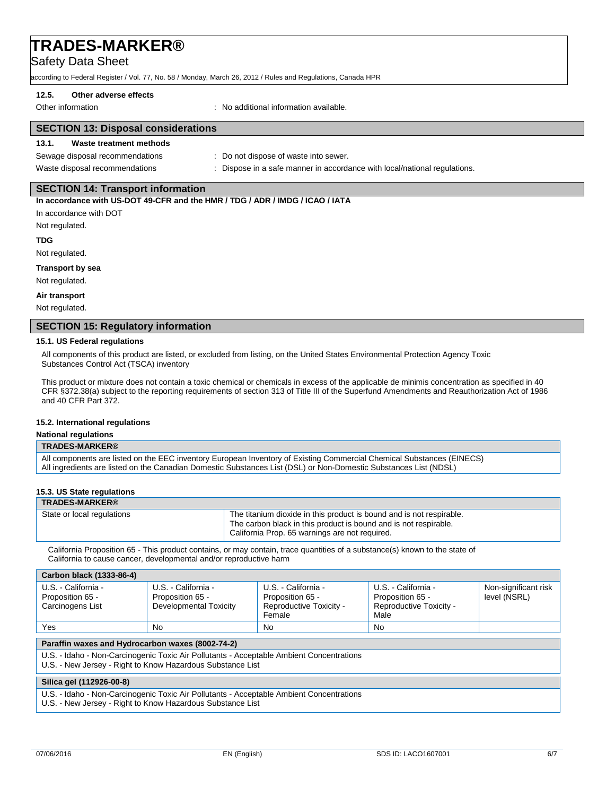Safety Data Sheet

according to Federal Register / Vol. 77, No. 58 / Monday, March 26, 2012 / Rules and Regulations, Canada HPR

#### **12.5. Other adverse effects**

Other information : No additional information available.

# **SECTION 13: Disposal considerations**

## **13.1. Waste treatment methods**

Sewage disposal recommendations : Do not dispose of waste into sewer.

Waste disposal recommendations : Dispose in a safe manner in accordance with local/national regulations.

## **SECTION 14: Transport information**

**In accordance with US-DOT 49-CFR and the HMR / TDG / ADR / IMDG / ICAO / IATA**

In accordance with DOT Not regulated.

#### **TDG**

Not regulated.

### **Transport by sea**

Not regulated.

#### **Air transport**

Not regulated.

## **SECTION 15: Regulatory information**

#### **15.1. US Federal regulations**

All components of this product are listed, or excluded from listing, on the United States Environmental Protection Agency Toxic Substances Control Act (TSCA) inventory

This product or mixture does not contain a toxic chemical or chemicals in excess of the applicable de minimis concentration as specified in 40 CFR §372.38(a) subject to the reporting requirements of section 313 of Title III of the Superfund Amendments and Reauthorization Act of 1986 and 40 CFR Part 372.

## **15.2. International regulations**

**National regulations**

### **TRADES-MARKER®**

All components are listed on the EEC inventory European Inventory of Existing Commercial Chemical Substances (EINECS) All ingredients are listed on the Canadian Domestic Substances List (DSL) or Non-Domestic Substances List (NDSL)

### **15.3. US State regulations**

| <b>TRADES-MARKER®</b>      |                                                                                                                                                                                            |
|----------------------------|--------------------------------------------------------------------------------------------------------------------------------------------------------------------------------------------|
| State or local regulations | The titanium dioxide in this product is bound and is not respirable.<br>The carbon black in this product is bound and is not respirable.<br>California Prop. 65 warnings are not required. |

California Proposition 65 - This product contains, or may contain, trace quantities of a substance(s) known to the state of California to cause cancer, developmental and/or reproductive harm

| Carbon black (1333-86-4)                                                                                                                               |                                                                          |                                                                              |                                                                            |                                      |  |
|--------------------------------------------------------------------------------------------------------------------------------------------------------|--------------------------------------------------------------------------|------------------------------------------------------------------------------|----------------------------------------------------------------------------|--------------------------------------|--|
| U.S. - California -<br>Proposition 65 -<br>Carcinogens List                                                                                            | U.S. - California -<br>Proposition 65 -<br><b>Developmental Toxicity</b> | U.S. - California -<br>Proposition 65 -<br>Reproductive Toxicity -<br>Female | U.S. - California -<br>Proposition 65 -<br>Reproductive Toxicity -<br>Male | Non-significant risk<br>level (NSRL) |  |
| Yes                                                                                                                                                    | No.                                                                      | No                                                                           | <b>No</b>                                                                  |                                      |  |
| Paraffin waxes and Hydrocarbon waxes (8002-74-2)                                                                                                       |                                                                          |                                                                              |                                                                            |                                      |  |
| U.S. - Idaho - Non-Carcinogenic Toxic Air Pollutants - Acceptable Ambient Concentrations<br>U.S. - New Jersey - Right to Know Hazardous Substance List |                                                                          |                                                                              |                                                                            |                                      |  |
| Silica gel (112926-00-8)                                                                                                                               |                                                                          |                                                                              |                                                                            |                                      |  |
| U.S. - Idaho - Non-Carcinogenic Toxic Air Pollutants - Acceptable Ambient Concentrations<br>U.S. - New Jersey - Right to Know Hazardous Substance List |                                                                          |                                                                              |                                                                            |                                      |  |